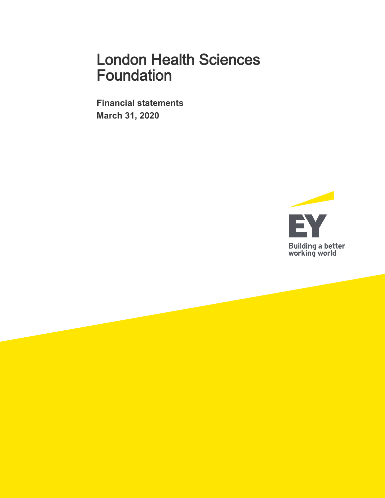**Financial statements March 31, 2020**

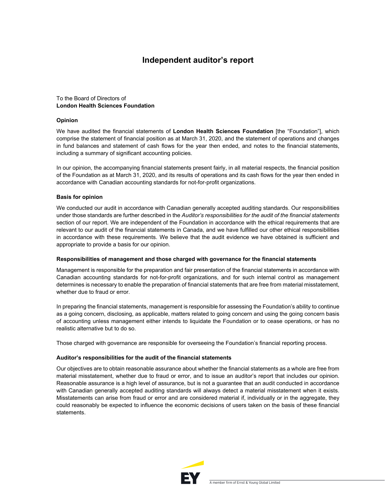### **Independent auditor's report**

#### To the Board of Directors of **London Health Sciences Foundation**

#### **Opinion**

We have audited the financial statements of **London Health Sciences Foundation** [the "Foundation"], which comprise the statement of financial position as at March 31, 2020, and the statement of operations and changes in fund balances and statement of cash flows for the year then ended, and notes to the financial statements, including a summary of significant accounting policies.

In our opinion, the accompanying financial statements present fairly, in all material respects, the financial position of the Foundation as at March 31, 2020, and its results of operations and its cash flows for the year then ended in accordance with Canadian accounting standards for not-for-profit organizations.

#### **Basis for opinion**

We conducted our audit in accordance with Canadian generally accepted auditing standards. Our responsibilities under those standards are further described in the *Auditor's responsibilities for the audit of the financial statements*  section of our report. We are independent of the Foundation in accordance with the ethical requirements that are relevant to our audit of the financial statements in Canada, and we have fulfilled our other ethical responsibilities in accordance with these requirements. We believe that the audit evidence we have obtained is sufficient and appropriate to provide a basis for our opinion.

#### **Responsibilities of management and those charged with governance for the financial statements**

Management is responsible for the preparation and fair presentation of the financial statements in accordance with Canadian accounting standards for not-for-profit organizations, and for such internal control as management determines is necessary to enable the preparation of financial statements that are free from material misstatement, whether due to fraud or error.

In preparing the financial statements, management is responsible for assessing the Foundation's ability to continue as a going concern, disclosing, as applicable, matters related to going concern and using the going concern basis of accounting unless management either intends to liquidate the Foundation or to cease operations, or has no realistic alternative but to do so.

Those charged with governance are responsible for overseeing the Foundation's financial reporting process.

#### **Auditor's responsibilities for the audit of the financial statements**

Our objectives are to obtain reasonable assurance about whether the financial statements as a whole are free from material misstatement, whether due to fraud or error, and to issue an auditor's report that includes our opinion. Reasonable assurance is a high level of assurance, but is not a guarantee that an audit conducted in accordance with Canadian generally accepted auditing standards will always detect a material misstatement when it exists. Misstatements can arise from fraud or error and are considered material if, individually or in the aggregate, they could reasonably be expected to influence the economic decisions of users taken on the basis of these financial statements.

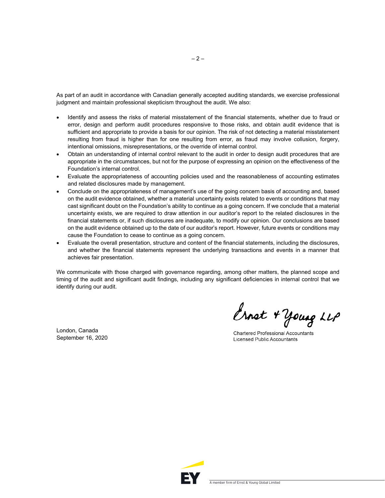As part of an audit in accordance with Canadian generally accepted auditing standards, we exercise professional judgment and maintain professional skepticism throughout the audit. We also:

- Identify and assess the risks of material misstatement of the financial statements, whether due to fraud or error, design and perform audit procedures responsive to those risks, and obtain audit evidence that is sufficient and appropriate to provide a basis for our opinion. The risk of not detecting a material misstatement resulting from fraud is higher than for one resulting from error, as fraud may involve collusion, forgery, intentional omissions, misrepresentations, or the override of internal control.
- Obtain an understanding of internal control relevant to the audit in order to design audit procedures that are appropriate in the circumstances, but not for the purpose of expressing an opinion on the effectiveness of the Foundation's internal control.
- Evaluate the appropriateness of accounting policies used and the reasonableness of accounting estimates and related disclosures made by management.
- Conclude on the appropriateness of management's use of the going concern basis of accounting and, based on the audit evidence obtained, whether a material uncertainty exists related to events or conditions that may cast significant doubt on the Foundation's ability to continue as a going concern. If we conclude that a material uncertainty exists, we are required to draw attention in our auditor's report to the related disclosures in the financial statements or, if such disclosures are inadequate, to modify our opinion. Our conclusions are based on the audit evidence obtained up to the date of our auditor's report. However, future events or conditions may cause the Foundation to cease to continue as a going concern.
- Evaluate the overall presentation, structure and content of the financial statements, including the disclosures, and whether the financial statements represent the underlying transactions and events in a manner that achieves fair presentation.

We communicate with those charged with governance regarding, among other matters, the planned scope and timing of the audit and significant audit findings, including any significant deficiencies in internal control that we identify during our audit.

London, Canada September 16, 2020

Ernst + Young LLP

**Chartered Professional Accountants Licensed Public Accountants** 

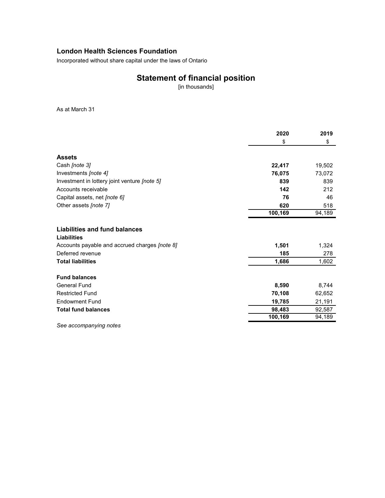Incorporated without share capital under the laws of Ontario

# **Statement of financial position**

[in thousands]

As at March 31

|                                                            | 2020    | 2019   |
|------------------------------------------------------------|---------|--------|
|                                                            | \$      | \$     |
| <b>Assets</b>                                              |         |        |
| Cash [note 3]                                              | 22,417  | 19,502 |
| Investments [note 4]                                       | 76,075  | 73,072 |
| Investment in lottery joint venture [note 5]               | 839     | 839    |
| Accounts receivable                                        | 142     | 212    |
| Capital assets, net [note 6]                               | 76      | 46     |
| Other assets [note 7]                                      | 620     | 518    |
|                                                            | 100,169 | 94,189 |
| <b>Liabilities and fund balances</b><br><b>Liabilities</b> |         |        |
| Accounts payable and accrued charges [note 8]              | 1.501   | 1,324  |
| Deferred revenue                                           | 185     | 278    |
| <b>Total liabilities</b>                                   | 1,686   | 1,602  |
| <b>Fund balances</b>                                       |         |        |
| <b>General Fund</b>                                        | 8,590   | 8,744  |
| <b>Restricted Fund</b>                                     | 70,108  | 62,652 |
| <b>Endowment Fund</b>                                      | 19,785  | 21,191 |
| <b>Total fund balances</b>                                 | 98,483  | 92,587 |
|                                                            | 100,169 | 94,189 |

*See accompanying notes*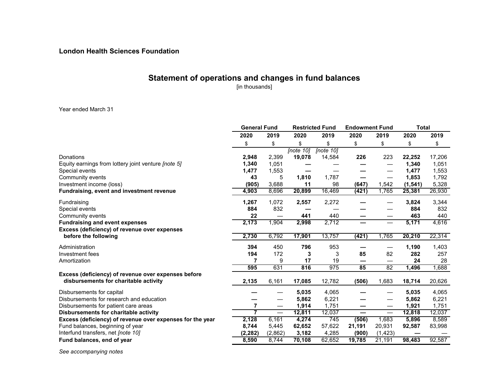# **Statement of operations and changes in fund balances**

[in thousands]

#### Year ended March 31

|                                                           | <b>General Fund</b> |                                |              | <b>Restricted Fund</b> | <b>Endowment Fund</b> |                          | <b>Total</b> |        |
|-----------------------------------------------------------|---------------------|--------------------------------|--------------|------------------------|-----------------------|--------------------------|--------------|--------|
|                                                           | 2020                | 2019                           | 2020         | 2019                   | 2020                  | 2019                     | 2020         | 2019   |
|                                                           | \$                  | \$                             | \$           | \$                     | \$                    | \$                       | \$           | \$     |
|                                                           |                     |                                | [note $10$ ] | [note $10$ ]           |                       |                          |              |        |
| Donations                                                 | 2,948               | 2,399                          | 19,078       | 14,584                 | 226                   | 223                      | 22,252       | 17,206 |
| Equity earnings from lottery joint venture [note 5]       | 1,340               | 1,051                          |              |                        |                       |                          | 1,340        | 1,051  |
| Special events                                            | 1,477               | 1,553                          |              |                        |                       |                          | 1,477        | 1,553  |
| Community events                                          | 43                  | 5                              | 1,810        | 1,787                  |                       |                          | 1,853        | 1,792  |
| Investment income (loss)                                  | (905)               | 3,688                          | 11           | 98                     | (647)                 | 1,542                    | (1, 541)     | 5,328  |
| Fundraising, event and investment revenue                 | 4,903               | 8,696                          | 20,899       | 16,469                 | (421)                 | 1,765                    | 25,381       | 26,930 |
| Fundraising                                               | 1,267               | 1,072                          | 2,557        | 2,272                  |                       |                          | 3,824        | 3,344  |
| Special events                                            | 884                 | 832                            |              |                        |                       |                          | 884          | 832    |
| Community events                                          | 22                  |                                | 441          | 440                    |                       |                          | 463          | 440    |
| <b>Fundraising and event expenses</b>                     | 2,173               | 1,904                          | 2,998        | 2,712                  |                       |                          | 5,171        | 4,616  |
| Excess (deficiency) of revenue over expenses              |                     |                                |              |                        |                       |                          |              |        |
| before the following                                      | 2,730               | 6,792                          | 17,901       | 13,757                 | (421)                 | 1,765                    | 20,210       | 22,314 |
| Administration                                            | 394                 | 450                            | 796          | 953                    |                       |                          | 1,190        | 1,403  |
| Investment fees                                           | 194                 | 172                            | 3            | 3                      | 85                    | 82                       | 282          | 257    |
| Amortization                                              | 7                   | 9                              | 17           | 19                     |                       |                          | 24           | 28     |
|                                                           | 595                 | 631                            | 816          | 975                    | 85                    | $\overline{82}$          | 1,496        | 1,688  |
| Excess (deficiency) of revenue over expenses before       |                     |                                |              |                        |                       |                          |              |        |
| disbursements for charitable activity                     | 2,135               | 6,161                          | 17,085       | 12,782                 | (506)                 | 1,683                    | 18,714       | 20,626 |
| Disbursements for capital                                 |                     |                                | 5,035        | 4,065                  |                       |                          | 5,035        | 4,065  |
| Disbursements for research and education                  |                     |                                | 5,862        | 6,221                  |                       |                          | 5,862        | 6,221  |
| Disbursements for patient care areas                      |                     | $\qquad \qquad \longleftarrow$ | 1,914        | 1,751                  |                       |                          | 1,921        | 1,751  |
| Disbursements for charitable activity                     | 7                   |                                | 12,811       | 12,037                 | —                     | $\overline{\phantom{0}}$ | 12,818       | 12,037 |
| Excess (deficiency) of revenue over expenses for the year | 2,128               | 6,161                          | 4,274        | 745                    | (506)                 | 1,683                    | 5,896        | 8,589  |
| Fund balances, beginning of year                          | 8,744               | 5,445                          | 62,652       | 57,622                 | 21,191                | 20,931                   | 92,587       | 83,998 |
| Interfund transfers, net [note 10]                        | (2, 282)            | (2,862)                        | 3,182        | 4,285                  | (900)                 | (1, 423)                 |              |        |
| Fund balances, end of year                                | 8,590               | 8,744                          | 70,108       | 62,652                 | 19,785                | 21,191                   | 98,483       | 92,587 |

*See accompanying notes*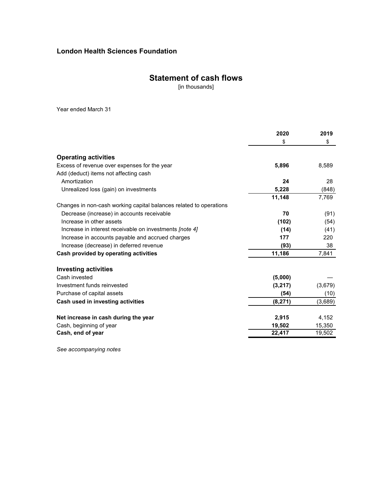### **Statement of cash flows**

[in thousands]

Year ended March 31

|                                                                    | 2020     | 2019    |
|--------------------------------------------------------------------|----------|---------|
|                                                                    | \$       | \$      |
| <b>Operating activities</b>                                        |          |         |
| Excess of revenue over expenses for the year                       | 5,896    | 8,589   |
| Add (deduct) items not affecting cash                              |          |         |
| Amortization                                                       | 24       | 28      |
| Unrealized loss (gain) on investments                              | 5,228    | (848)   |
|                                                                    | 11,148   | 7,769   |
| Changes in non-cash working capital balances related to operations |          |         |
| Decrease (increase) in accounts receivable                         | 70       | (91)    |
| Increase in other assets                                           | (102)    | (54)    |
| Increase in interest receivable on investments [note 4]            | (14)     | (41)    |
| Increase in accounts payable and accrued charges                   | 177      | 220     |
| Increase (decrease) in deferred revenue                            | (93)     | 38      |
| Cash provided by operating activities                              | 11,186   | 7,841   |
| <b>Investing activities</b>                                        |          |         |
| Cash invested                                                      | (5,000)  |         |
| Investment funds reinvested                                        | (3,217)  | (3,679) |
| Purchase of capital assets                                         | (54)     | (10)    |
| Cash used in investing activities                                  | (8, 271) | (3,689) |
| Net increase in cash during the year                               | 2,915    | 4,152   |
| Cash, beginning of year                                            | 19,502   | 15,350  |
| Cash, end of year                                                  | 22,417   | 19,502  |

*See accompanying notes*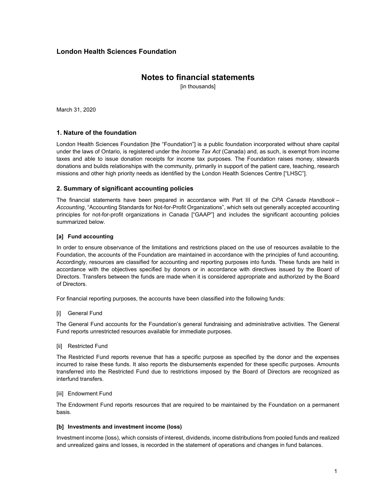### **Notes to financial statements**

[in thousands]

March 31, 2020

#### **1. Nature of the foundation**

London Health Sciences Foundation [the "Foundation"] is a public foundation incorporated without share capital under the laws of Ontario, is registered under the *Income Tax Act* (Canada) and, as such, is exempt from income taxes and able to issue donation receipts for income tax purposes. The Foundation raises money, stewards donations and builds relationships with the community, primarily in support of the patient care, teaching, research missions and other high priority needs as identified by the London Health Sciences Centre ["LHSC"].

#### **2. Summary of significant accounting policies**

The financial statements have been prepared in accordance with Part III of the *CPA Canada Handbook – Accounting*, "Accounting Standards for Not-for-Profit Organizations", which sets out generally accepted accounting principles for not-for-profit organizations in Canada ["GAAP"] and includes the significant accounting policies summarized below.

#### **[a] Fund accounting**

In order to ensure observance of the limitations and restrictions placed on the use of resources available to the Foundation, the accounts of the Foundation are maintained in accordance with the principles of fund accounting. Accordingly, resources are classified for accounting and reporting purposes into funds. These funds are held in accordance with the objectives specified by donors or in accordance with directives issued by the Board of Directors. Transfers between the funds are made when it is considered appropriate and authorized by the Board of Directors.

For financial reporting purposes, the accounts have been classified into the following funds:

[i] General Fund

The General Fund accounts for the Foundation's general fundraising and administrative activities. The General Fund reports unrestricted resources available for immediate purposes.

[ii] Restricted Fund

The Restricted Fund reports revenue that has a specific purpose as specified by the donor and the expenses incurred to raise these funds. It also reports the disbursements expended for these specific purposes. Amounts transferred into the Restricted Fund due to restrictions imposed by the Board of Directors are recognized as interfund transfers.

#### [iii] Endowment Fund

The Endowment Fund reports resources that are required to be maintained by the Foundation on a permanent basis.

#### **[b] Investments and investment income (loss)**

Investment income (loss), which consists of interest, dividends, income distributions from pooled funds and realized and unrealized gains and losses, is recorded in the statement of operations and changes in fund balances.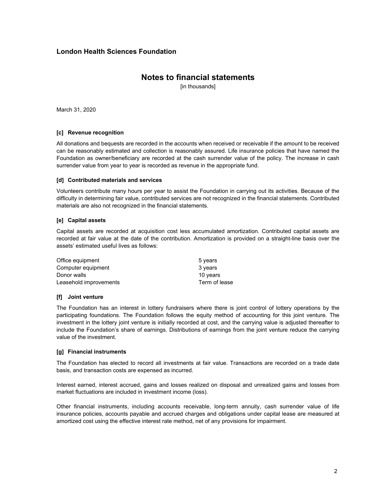### **Notes to financial statements**

[in thousands]

March 31, 2020

#### **[c] Revenue recognition**

All donations and bequests are recorded in the accounts when received or receivable if the amount to be received can be reasonably estimated and collection is reasonably assured. Life insurance policies that have named the Foundation as owner/beneficiary are recorded at the cash surrender value of the policy. The increase in cash surrender value from year to year is recorded as revenue in the appropriate fund.

#### **[d] Contributed materials and services**

Volunteers contribute many hours per year to assist the Foundation in carrying out its activities. Because of the difficulty in determining fair value, contributed services are not recognized in the financial statements. Contributed materials are also not recognized in the financial statements.

#### **[e] Capital assets**

Capital assets are recorded at acquisition cost less accumulated amortization. Contributed capital assets are recorded at fair value at the date of the contribution. Amortization is provided on a straight-line basis over the assets' estimated useful lives as follows:

| Office equipment       | 5 years       |
|------------------------|---------------|
| Computer equipment     | 3 years       |
| Donor walls            | 10 years      |
| Leasehold improvements | Term of lease |

#### **[f] Joint venture**

The Foundation has an interest in lottery fundraisers where there is joint control of lottery operations by the participating foundations. The Foundation follows the equity method of accounting for this joint venture. The investment in the lottery joint venture is initially recorded at cost, and the carrying value is adjusted thereafter to include the Foundation's share of earnings. Distributions of earnings from the joint venture reduce the carrying value of the investment.

#### **[g] Financial instruments**

The Foundation has elected to record all investments at fair value. Transactions are recorded on a trade date basis, and transaction costs are expensed as incurred.

Interest earned, interest accrued, gains and losses realized on disposal and unrealized gains and losses from market fluctuations are included in investment income (loss).

Other financial instruments, including accounts receivable, long-term annuity, cash surrender value of life insurance policies, accounts payable and accrued charges and obligations under capital lease are measured at amortized cost using the effective interest rate method, net of any provisions for impairment.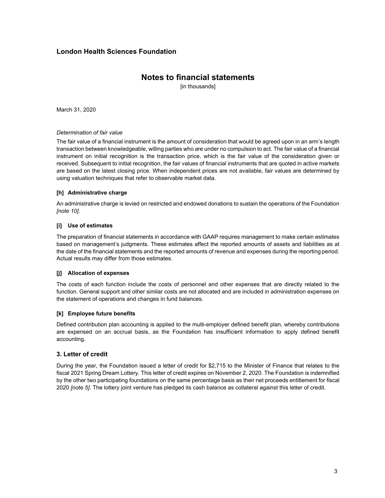### **Notes to financial statements**

[in thousands]

March 31, 2020

#### *Determination of fair value*

The fair value of a financial instrument is the amount of consideration that would be agreed upon in an arm's length transaction between knowledgeable, willing parties who are under no compulsion to act. The fair value of a financial instrument on initial recognition is the transaction price, which is the fair value of the consideration given or received. Subsequent to initial recognition, the fair values of financial instruments that are quoted in active markets are based on the latest closing price. When independent prices are not available, fair values are determined by using valuation techniques that refer to observable market data.

#### **[h] Administrative charge**

An administrative charge is levied on restricted and endowed donations to sustain the operations of the Foundation *[note 10]*.

#### **[i] Use of estimates**

The preparation of financial statements in accordance with GAAP requires management to make certain estimates based on management's judgments. These estimates affect the reported amounts of assets and liabilities as at the date of the financial statements and the reported amounts of revenue and expenses during the reporting period. Actual results may differ from those estimates.

#### **[j] Allocation of expenses**

The costs of each function include the costs of personnel and other expenses that are directly related to the function. General support and other similar costs are not allocated and are included in administration expenses on the statement of operations and changes in fund balances.

#### **[k] Employee future benefits**

Defined contribution plan accounting is applied to the multi-employer defined benefit plan, whereby contributions are expensed on an accrual basis, as the Foundation has insufficient information to apply defined benefit accounting.

#### **3. Letter of credit**

During the year, the Foundation issued a letter of credit for \$2,715 to the Minister of Finance that relates to the fiscal 2021 Spring Dream Lottery. This letter of credit expires on November 2, 2020. The Foundation is indemnified by the other two participating foundations on the same percentage basis as their net proceeds entitlement for fiscal 2020 *[note 5]*. The lottery joint venture has pledged its cash balance as collateral against this letter of credit.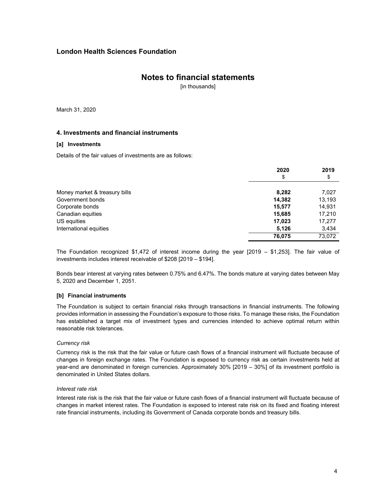### **Notes to financial statements**

[in thousands]

March 31, 2020

#### **4. Investments and financial instruments**

#### **[a] Investments**

Details of the fair values of investments are as follows:

|                               | 2020   | 2019   |
|-------------------------------|--------|--------|
|                               | \$     | \$     |
| Money market & treasury bills | 8,282  | 7,027  |
| Government bonds              | 14,382 | 13,193 |
| Corporate bonds               | 15,577 | 14,931 |
| Canadian equities             | 15,685 | 17,210 |
| US equities                   | 17,023 | 17,277 |
| International equities        | 5,126  | 3,434  |
|                               | 76.075 | 73.072 |

The Foundation recognized \$1,472 of interest income during the year [2019 – \$1,253]. The fair value of investments includes interest receivable of \$208 [2019 – \$194].

Bonds bear interest at varying rates between 0.75% and 6.47%. The bonds mature at varying dates between May 5, 2020 and December 1, 2051.

#### **[b] Financial instruments**

The Foundation is subject to certain financial risks through transactions in financial instruments. The following provides information in assessing the Foundation's exposure to those risks. To manage these risks, the Foundation has established a target mix of investment types and currencies intended to achieve optimal return within reasonable risk tolerances.

#### *Currency risk*

Currency risk is the risk that the fair value or future cash flows of a financial instrument will fluctuate because of changes in foreign exchange rates. The Foundation is exposed to currency risk as certain investments held at year-end are denominated in foreign currencies. Approximately 30% [2019 – 30%] of its investment portfolio is denominated in United States dollars.

#### *Interest rate risk*

Interest rate risk is the risk that the fair value or future cash flows of a financial instrument will fluctuate because of changes in market interest rates. The Foundation is exposed to interest rate risk on its fixed and floating interest rate financial instruments, including its Government of Canada corporate bonds and treasury bills.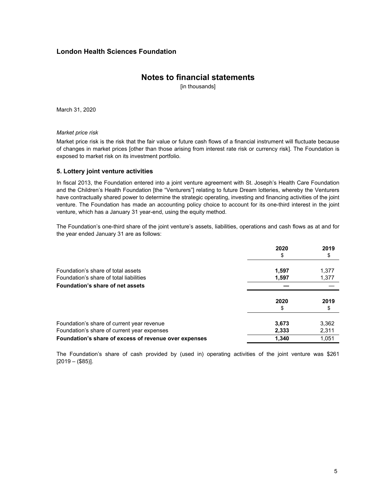### **Notes to financial statements**

[in thousands]

March 31, 2020

*Market price risk*

Market price risk is the risk that the fair value or future cash flows of a financial instrument will fluctuate because of changes in market prices [other than those arising from interest rate risk or currency risk]. The Foundation is exposed to market risk on its investment portfolio.

#### **5. Lottery joint venture activities**

In fiscal 2013, the Foundation entered into a joint venture agreement with St. Joseph's Health Care Foundation and the Children's Health Foundation [the "Venturers"] relating to future Dream lotteries, whereby the Venturers have contractually shared power to determine the strategic operating, investing and financing activities of the joint venture. The Foundation has made an accounting policy choice to account for its one-third interest in the joint venture, which has a January 31 year-end, using the equity method.

The Foundation's one-third share of the joint venture's assets, liabilities, operations and cash flows as at and for the year ended January 31 are as follows:

|                                                                                           | 2020           | 2019<br>\$     |
|-------------------------------------------------------------------------------------------|----------------|----------------|
| Foundation's share of total assets<br>Foundation's share of total liabilities             | 1,597<br>1,597 | 1,377<br>1,377 |
| Foundation's share of net assets                                                          |                |                |
|                                                                                           | 2020           | 2019<br>\$     |
| Foundation's share of current year revenue<br>Foundation's share of current year expenses | 3,673<br>2,333 | 3,362<br>2,311 |
| Foundation's share of excess of revenue over expenses                                     | 1.340          | 1.051          |

The Foundation's share of cash provided by (used in) operating activities of the joint venture was \$261  $[2019 - (\$85)].$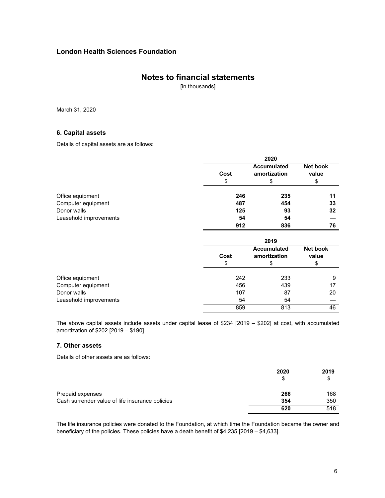### **Notes to financial statements**

[in thousands]

March 31, 2020

#### **6. Capital assets**

Details of capital assets are as follows:

|                        |      | 2020                               |                          |
|------------------------|------|------------------------------------|--------------------------|
|                        | Cost | <b>Accumulated</b><br>amortization | <b>Net book</b><br>value |
|                        | \$   | \$                                 | \$                       |
| Office equipment       | 246  | 235                                | 11                       |
| Computer equipment     | 487  | 454                                | 33                       |
| Donor walls            | 125  | 93                                 | 32                       |
| Leasehold improvements | 54   | 54                                 |                          |
|                        | 912  | 836                                | 76                       |
|                        |      | 2019                               |                          |
|                        | Cost | <b>Accumulated</b><br>amortization | Net book<br>value        |

| Office equipment       | 242 | 233 |    |
|------------------------|-----|-----|----|
| Computer equipment     | 456 | 439 |    |
| Donor walls            | 107 | 87  | 20 |
| Leasehold improvements | 54  | 54  |    |
|                        | 859 | 813 | 46 |

The above capital assets include assets under capital lease of \$234 [2019 – \$202] at cost, with accumulated amortization of \$202 [2019 – \$190].

#### **7. Other assets**

Details of other assets are as follows:

|                                                 | 2020<br>S | 2019<br>S |
|-------------------------------------------------|-----------|-----------|
| Prepaid expenses                                | 266       | 168       |
| Cash surrender value of life insurance policies | 354       | 350       |
|                                                 | 620       | 518       |

The life insurance policies were donated to the Foundation, at which time the Foundation became the owner and beneficiary of the policies. These policies have a death benefit of \$4,235 [2019 – \$4,633].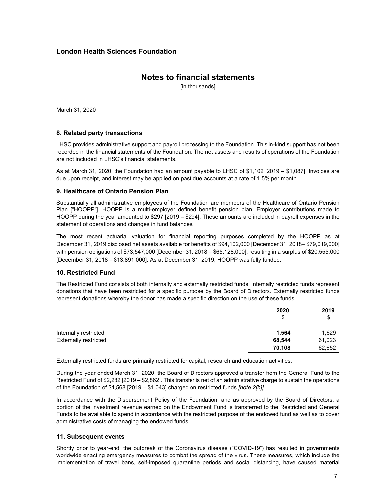### **Notes to financial statements**

[in thousands]

March 31, 2020

#### **8. Related party transactions**

LHSC provides administrative support and payroll processing to the Foundation. This in-kind support has not been recorded in the financial statements of the Foundation. The net assets and results of operations of the Foundation are not included in LHSC's financial statements.

As at March 31, 2020, the Foundation had an amount payable to LHSC of \$1,102 [2019 – \$1,087]. Invoices are due upon receipt, and interest may be applied on past due accounts at a rate of 1.5% per month.

#### **9. Healthcare of Ontario Pension Plan**

Substantially all administrative employees of the Foundation are members of the Healthcare of Ontario Pension Plan ["HOOPP"]. HOOPP is a multi-employer defined benefit pension plan. Employer contributions made to HOOPP during the year amounted to \$297 [2019 – \$294]. These amounts are included in payroll expenses in the statement of operations and changes in fund balances.

The most recent actuarial valuation for financial reporting purposes completed by the HOOPP as at December 31, 2019 disclosed net assets available for benefits of \$94,102,000 [December 31, 2018− \$79,019,000] with pension obligations of \$73,547,000 [December 31, 2018 − \$65,128,000], resulting in a surplus of \$20,555,000 [December 31, 2018 − \$13,891,000]. As at December 31, 2019, HOOPP was fully funded.

#### **10. Restricted Fund**

The Restricted Fund consists of both internally and externally restricted funds. Internally restricted funds represent donations that have been restricted for a specific purpose by the Board of Directors. Externally restricted funds represent donations whereby the donor has made a specific direction on the use of these funds.

|                              | 2020<br>\$ | 2019<br>\$ |
|------------------------------|------------|------------|
| Internally restricted        | 1,564      | 1,629      |
| <b>Externally restricted</b> | 68,544     | 61,023     |
|                              | 70,108     | 62,652     |

Externally restricted funds are primarily restricted for capital, research and education activities.

During the year ended March 31, 2020, the Board of Directors approved a transfer from the General Fund to the Restricted Fund of \$2,282 [2019 – \$2,862]. This transfer is net of an administrative charge to sustain the operations of the Foundation of \$1,568 [2019 – \$1,043] charged on restricted funds *[note 2[h]].*

In accordance with the Disbursement Policy of the Foundation, and as approved by the Board of Directors, a portion of the investment revenue earned on the Endowment Fund is transferred to the Restricted and General Funds to be available to spend in accordance with the restricted purpose of the endowed fund as well as to cover administrative costs of managing the endowed funds.

#### **11. Subsequent events**

Shortly prior to year-end, the outbreak of the Coronavirus disease ("COVID-19") has resulted in governments worldwide enacting emergency measures to combat the spread of the virus. These measures, which include the implementation of travel bans, self-imposed quarantine periods and social distancing, have caused material